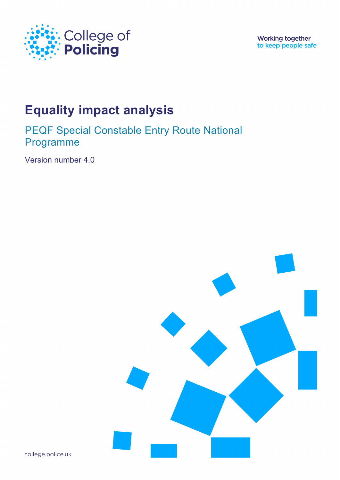

**Working together** to keep people safe

# **Equality impact analysis**

PEQF Special Constable Entry Route National Programme

Version number 4.0



college.police.uk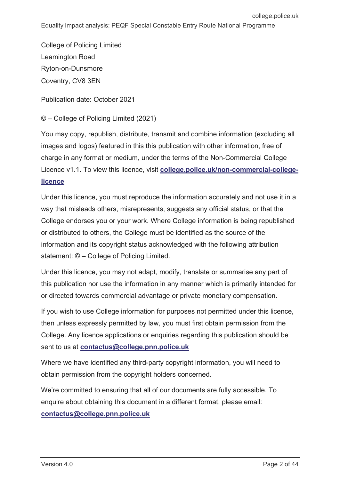College of Policing Limited Leamington Road Ryton-on-Dunsmore Coventry, CV8 3EN

Publication date: October 2021

© – College of Policing Limited (2021)

You may copy, republish, distribute, transmit and combine information (excluding all images and logos) featured in this this publication with other information, free of charge in any format or medium, under the terms of the Non-Commercial College Licence v1.1. To view this licence, visit **[college.police.uk/non-commercial-college](https://www.college.police.uk/non-commercial-college-licence)[licence](https://www.college.police.uk/non-commercial-college-licence)**

Under this licence, you must reproduce the information accurately and not use it in a way that misleads others, misrepresents, suggests any official status, or that the College endorses you or your work. Where College information is being republished or distributed to others, the College must be identified as the source of the information and its copyright status acknowledged with the following attribution statement: © – College of Policing Limited.

Under this licence, you may not adapt, modify, translate or summarise any part of this publication nor use the information in any manner which is primarily intended for or directed towards commercial advantage or private monetary compensation.

If you wish to use College information for purposes not permitted under this licence, then unless expressly permitted by law, you must first obtain permission from the College. Any licence applications or enquiries regarding this publication should be sent to us at **[contactus@college.pnn.police.uk](mailto:contactus@college.pnn.police.uk)**

Where we have identified any third-party copyright information, you will need to obtain permission from the copyright holders concerned.

We're committed to ensuring that all of our documents are fully accessible. To enquire about obtaining this document in a different format, please email: **[contactus@college.pnn.police.uk](mailto:contactus@college.pnn.police.uk)**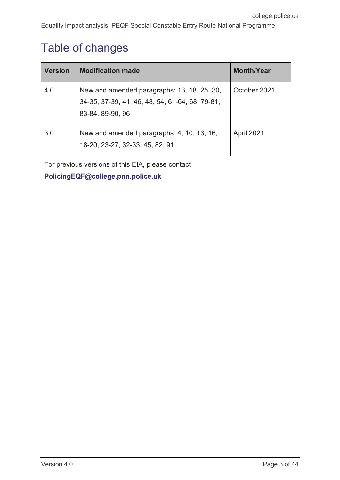# <span id="page-2-0"></span>Table of changes

| <b>Version</b>                                                                         | <b>Modification made</b>                                                                                           | <b>Month/Year</b> |  |  |  |  |
|----------------------------------------------------------------------------------------|--------------------------------------------------------------------------------------------------------------------|-------------------|--|--|--|--|
| 4.0                                                                                    | New and amended paragraphs: 13, 18, 25, 30,<br>34-35, 37-39, 41, 46, 48, 54, 61-64, 68, 79-81,<br>83-84, 89-90, 96 | October 2021      |  |  |  |  |
| 3.0                                                                                    | New and amended paragraphs: 4, 10, 13, 16,<br>18-20, 23-27, 32-33, 45, 82, 91                                      | April 2021        |  |  |  |  |
| For previous versions of this EIA, please contact<br>PolicingEQF@college.pnn.police.uk |                                                                                                                    |                   |  |  |  |  |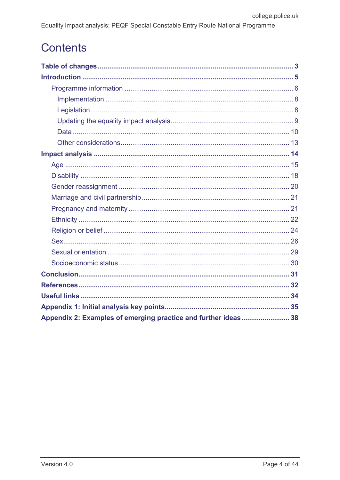## **Contents**

| Appendix 2: Examples of emerging practice and further ideas 38 |  |
|----------------------------------------------------------------|--|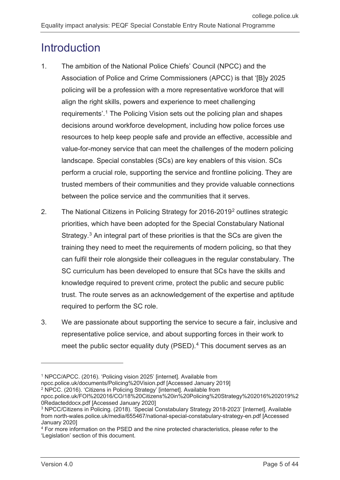## <span id="page-4-0"></span>**Introduction**

- 1. The ambition of the National Police Chiefs' Council (NPCC) and the Association of Police and Crime Commissioners (APCC) is that '[B]y 2025 policing will be a profession with a more representative workforce that will align the right skills, powers and experience to meet challenging requirements'.[1](#page-4-1) The Policing Vision sets out the policing plan and shapes decisions around workforce development, including how police forces use resources to help keep people safe and provide an effective, accessible and value-for-money service that can meet the challenges of the modern policing landscape. Special constables (SCs) are key enablers of this vision. SCs perform a crucial role, supporting the service and frontline policing. They are trusted members of their communities and they provide valuable connections between the police service and the communities that it serves.
- 2. The National Citizens in Policing Strategy for 2016-2019[2](#page-4-2) outlines strategic priorities, which have been adopted for the Special Constabulary National Strategy.[3](#page-4-3) An integral part of these priorities is that the SCs are given the training they need to meet the requirements of modern policing, so that they can fulfil their role alongside their colleagues in the regular constabulary. The SC curriculum has been developed to ensure that SCs have the skills and knowledge required to prevent crime, protect the public and secure public trust. The route serves as an acknowledgement of the expertise and aptitude required to perform the SC role.
- 3. We are passionate about supporting the service to secure a fair, inclusive and representative police service, and about supporting forces in their work to meet the public sector equality duty (PSED).<sup>[4](#page-4-4)</sup> This document serves as an

npcc.police.uk/documents/Policing%20Vision.pdf [Accessed January 2019]

<span id="page-4-1"></span><sup>1</sup> NPCC/APCC. (2016). 'Policing vision 2025' [internet]. Available from

<span id="page-4-2"></span><sup>2</sup> NPCC. (2016). 'Citizens in Policing Strategy' [internet]. Available from npcc.police.uk/FOI%202016/CO/18%20Citizens%20in%20Policing%20Strategy%202016%202019%2 0Redacteddocx.pdf [Accessed January 2020]

<span id="page-4-3"></span><sup>&</sup>lt;sup>3</sup> NPCC/Citizens in Policing. (2018). 'Special Constabulary Strategy 2018-2023' [internet]. Available from north-wales.police.uk/media/655467/national-special-constabulary-strategy-en.pdf [Accessed January 2020]

<span id="page-4-4"></span><sup>4</sup> For more information on the PSED and the nine protected characteristics, please refer to the 'Legislation' section of this document.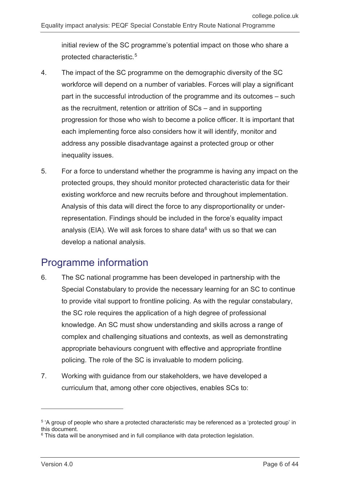initial review of the SC programme's potential impact on those who share a protected characteristic.[5](#page-5-1)

- 4. The impact of the SC programme on the demographic diversity of the SC workforce will depend on a number of variables. Forces will play a significant part in the successful introduction of the programme and its outcomes – such as the recruitment, retention or attrition of SCs – and in supporting progression for those who wish to become a police officer. It is important that each implementing force also considers how it will identify, monitor and address any possible disadvantage against a protected group or other inequality issues.
- 5. For a force to understand whether the programme is having any impact on the protected groups, they should monitor protected characteristic data for their existing workforce and new recruits before and throughout implementation. Analysis of this data will direct the force to any disproportionality or underrepresentation. Findings should be included in the force's equality impact analysis (EIA). We will ask forces to share data<sup>[6](#page-5-2)</sup> with us so that we can develop a national analysis.

### <span id="page-5-0"></span>Programme information

- 6. The SC national programme has been developed in partnership with the Special Constabulary to provide the necessary learning for an SC to continue to provide vital support to frontline policing. As with the regular constabulary, the SC role requires the application of a high degree of professional knowledge. An SC must show understanding and skills across a range of complex and challenging situations and contexts, as well as demonstrating appropriate behaviours congruent with effective and appropriate frontline policing. The role of the SC is invaluable to modern policing.
- 7. Working with guidance from our stakeholders, we have developed a curriculum that, among other core objectives, enables SCs to:

<span id="page-5-1"></span><sup>&</sup>lt;sup>5</sup> 'A group of people who share a protected characteristic may be referenced as a 'protected group' in this document.

<span id="page-5-2"></span> $6$  This data will be anonymised and in full compliance with data protection legislation.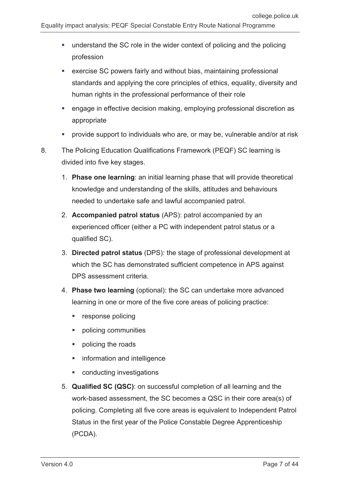- understand the SC role in the wider context of policing and the policing profession
- exercise SC powers fairly and without bias, maintaining professional standards and applying the core principles of ethics, equality, diversity and human rights in the professional performance of their role
- engage in effective decision making, employing professional discretion as appropriate
- **PEDDE SUPPORT IS NOTED FOR THE SUPPORT OF SUPPORT IS A FIGHT IS A FIGHT IS PROPERTY** FIGHT **Proversed Support** FIGHT IS PROPORT **Proversed Support** FIGHT IS A FIGHT A FIGHT A FIGHT A FIGHT A FIGHT A FIGHT A FIGHT A FIGHT
- 8. The Policing Education Qualifications Framework (PEQF) SC learning is divided into five key stages.
	- 1. **Phase one learning**: an initial learning phase that will provide theoretical knowledge and understanding of the skills, attitudes and behaviours needed to undertake safe and lawful accompanied patrol.
	- 2. **Accompanied patrol status** (APS): patrol accompanied by an experienced officer (either a PC with independent patrol status or a qualified SC).
	- 3. **Directed patrol status** (DPS): the stage of professional development at which the SC has demonstrated sufficient competence in APS against DPS assessment criteria.
	- 4. **Phase two learning** (optional): the SC can undertake more advanced learning in one or more of the five core areas of policing practice:
		- **•** response policing
		- policing communities
		- **•** policing the roads
		- **information and intelligence**
		- **•** conducting investigations
	- 5. **Qualified SC (QSC)**: on successful completion of all learning and the work-based assessment, the SC becomes a QSC in their core area(s) of policing. Completing all five core areas is equivalent to Independent Patrol Status in the first year of the Police Constable Degree Apprenticeship (PCDA).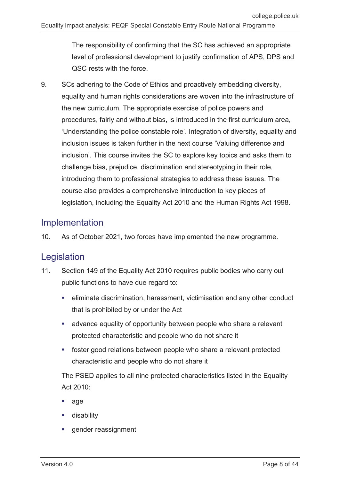The responsibility of confirming that the SC has achieved an appropriate level of professional development to justify confirmation of APS, DPS and QSC rests with the force.

9. SCs adhering to the Code of Ethics and proactively embedding diversity, equality and human rights considerations are woven into the infrastructure of the new curriculum. The appropriate exercise of police powers and procedures, fairly and without bias, is introduced in the first curriculum area, 'Understanding the police constable role'. Integration of diversity, equality and inclusion issues is taken further in the next course 'Valuing difference and inclusion'. This course invites the SC to explore key topics and asks them to challenge bias, prejudice, discrimination and stereotyping in their role, introducing them to professional strategies to address these issues. The course also provides a comprehensive introduction to key pieces of legislation, including the Equality Act 2010 and the Human Rights Act 1998.

#### <span id="page-7-0"></span>Implementation

10. As of October 2021, two forces have implemented the new programme.

#### <span id="page-7-1"></span>Legislation

- 11. Section 149 of the Equality Act 2010 requires public bodies who carry out public functions to have due regard to:
	- eliminate discrimination, harassment, victimisation and any other conduct that is prohibited by or under the Act
	- advance equality of opportunity between people who share a relevant protected characteristic and people who do not share it
	- **foster good relations between people who share a relevant protected** characteristic and people who do not share it

The PSED applies to all nine protected characteristics listed in the Equality Act 2010:

- age
- disability
- **gender reassignment**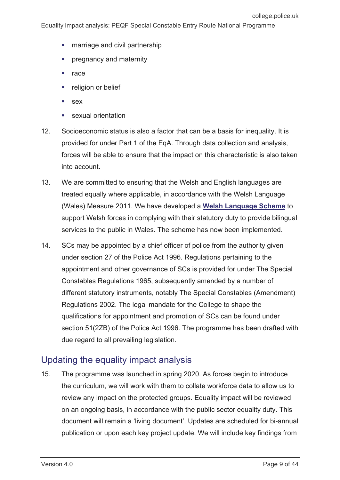- **marriage and civil partnership**
- pregnancy and maternity
- $rac{1}{\sqrt{2}}$  race
- religion or belief
- **sex**
- sexual orientation
- 12. Socioeconomic status is also a factor that can be a basis for inequality. It is provided for under Part 1 of the EqA. Through data collection and analysis, forces will be able to ensure that the impact on this characteristic is also taken into account.
- 13. We are committed to ensuring that the Welsh and English languages are treated equally where applicable, in accordance with the Welsh Language (Wales) Measure 2011. We have developed a **[Welsh Language Scheme](https://assets.college.police.uk/s3fs-public/2021-06/welsh-language-scheme.pdf)** to support Welsh forces in complying with their statutory duty to provide bilingual services to the public in Wales. The scheme has now been implemented.
- 14. SCs may be appointed by a chief officer of police from the authority given under section 27 of the Police Act 1996. Regulations pertaining to the appointment and other governance of SCs is provided for under The Special Constables Regulations 1965, subsequently amended by a number of different statutory instruments, notably The Special Constables (Amendment) Regulations 2002. The legal mandate for the College to shape the qualifications for appointment and promotion of SCs can be found under section 51(2ZB) of the Police Act 1996. The programme has been drafted with due regard to all prevailing legislation.

#### <span id="page-8-0"></span>Updating the equality impact analysis

15. The programme was launched in spring 2020. As forces begin to introduce the curriculum, we will work with them to collate workforce data to allow us to review any impact on the protected groups. Equality impact will be reviewed on an ongoing basis, in accordance with the public sector equality duty. This document will remain a 'living document'. Updates are scheduled for bi-annual publication or upon each key project update. We will include key findings from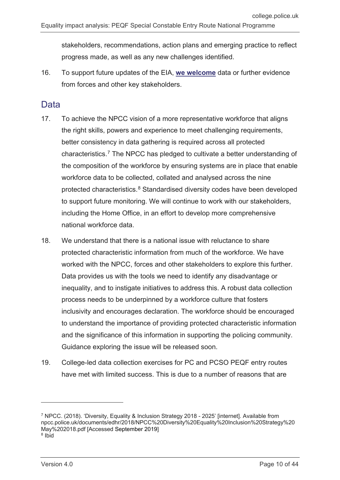stakeholders, recommendations, action plans and emerging practice to reflect progress made, as well as any new challenges identified.

16. To support future updates of the EIA, **[we welcome](mailto:policingeqf@college.pnn.police.uk)** data or further evidence from forces and other key stakeholders.

#### <span id="page-9-0"></span>Data

- 17. To achieve the NPCC vision of a more representative workforce that aligns the right skills, powers and experience to meet challenging requirements, better consistency in data gathering is required across all protected characteristics.[7](#page-9-1) The NPCC has pledged to cultivate a better understanding of the composition of the workforce by ensuring systems are in place that enable workforce data to be collected, collated and analysed across the nine protected characteristics.<sup>[8](#page-9-2)</sup> Standardised diversity codes have been developed to support future monitoring. We will continue to work with our stakeholders, including the Home Office, in an effort to develop more comprehensive national workforce data.
- 18. We understand that there is a national issue with reluctance to share protected characteristic information from much of the workforce. We have worked with the NPCC, forces and other stakeholders to explore this further. Data provides us with the tools we need to identify any disadvantage or inequality, and to instigate initiatives to address this. A robust data collection process needs to be underpinned by a workforce culture that fosters inclusivity and encourages declaration. The workforce should be encouraged to understand the importance of providing protected characteristic information and the significance of this information in supporting the policing community. Guidance exploring the issue will be released soon.
- 19. College-led data collection exercises for PC and PCSO PEQF entry routes have met with limited success. This is due to a number of reasons that are

<span id="page-9-2"></span><span id="page-9-1"></span><sup>7</sup> NPCC. (2018). 'Diversity, Equality & Inclusion Strategy 2018 - 2025' [internet]. Available from npcc.police.uk/documents/edhr/2018/NPCC%20Diversity%20Equality%20Inclusion%20Strategy%20 May%202018.pdf [Accessed September 2019]  $8$  Ibid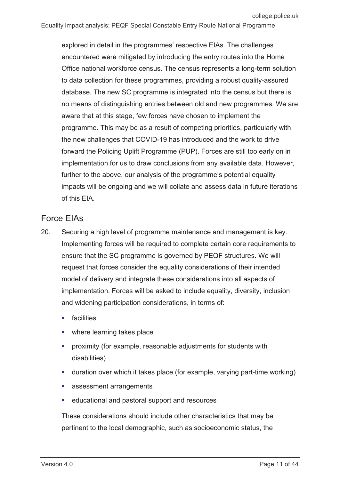explored in detail in the programmes' respective EIAs. The challenges encountered were mitigated by introducing the entry routes into the Home Office national workforce census. The census represents a long-term solution to data collection for these programmes, providing a robust quality-assured database. The new SC programme is integrated into the census but there is no means of distinguishing entries between old and new programmes. We are aware that at this stage, few forces have chosen to implement the programme. This may be as a result of competing priorities, particularly with the new challenges that COVID-19 has introduced and the work to drive forward the Policing Uplift Programme (PUP). Forces are still too early on in implementation for us to draw conclusions from any available data. However, further to the above, our analysis of the programme's potential equality impacts will be ongoing and we will collate and assess data in future iterations of this EIA.

#### Force EIAs

- 20. Securing a high level of programme maintenance and management is key. Implementing forces will be required to complete certain core requirements to ensure that the SC programme is governed by PEQF structures. We will request that forces consider the equality considerations of their intended model of delivery and integrate these considerations into all aspects of implementation. Forces will be asked to include equality, diversity, inclusion and widening participation considerations, in terms of:
	- **E** facilities
	- **•** where learning takes place
	- proximity (for example, reasonable adjustments for students with disabilities)
	- duration over which it takes place (for example, varying part-time working)
	- **assessment arrangements**
	- educational and pastoral support and resources

These considerations should include other characteristics that may be pertinent to the local demographic, such as socioeconomic status, the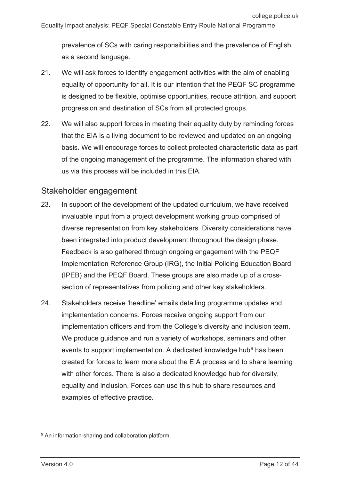prevalence of SCs with caring responsibilities and the prevalence of English as a second language.

- 21. We will ask forces to identify engagement activities with the aim of enabling equality of opportunity for all. It is our intention that the PEQF SC programme is designed to be flexible, optimise opportunities, reduce attrition, and support progression and destination of SCs from all protected groups.
- 22. We will also support forces in meeting their equality duty by reminding forces that the EIA is a living document to be reviewed and updated on an ongoing basis. We will encourage forces to collect protected characteristic data as part of the ongoing management of the programme. The information shared with us via this process will be included in this EIA.

#### Stakeholder engagement

- 23. In support of the development of the updated curriculum, we have received invaluable input from a project development working group comprised of diverse representation from key stakeholders. Diversity considerations have been integrated into product development throughout the design phase. Feedback is also gathered through ongoing engagement with the PEQF Implementation Reference Group (IRG), the Initial Policing Education Board (IPEB) and the PEQF Board. These groups are also made up of a crosssection of representatives from policing and other key stakeholders.
- 24. Stakeholders receive 'headline' emails detailing programme updates and implementation concerns. Forces receive ongoing support from our implementation officers and from the College's diversity and inclusion team. We produce guidance and run a variety of workshops, seminars and other events to support implementation. A dedicated knowledge hub<sup>[9](#page-11-0)</sup> has been created for forces to learn more about the EIA process and to share learning with other forces. There is also a dedicated knowledge hub for diversity, equality and inclusion. Forces can use this hub to share resources and examples of effective practice.

<span id="page-11-0"></span><sup>9</sup> An information-sharing and collaboration platform.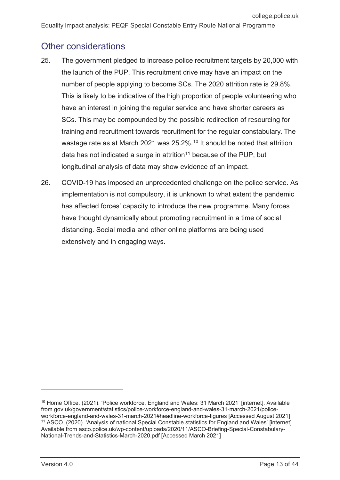#### <span id="page-12-0"></span>Other considerations

- 25. The government pledged to increase police recruitment targets by 20,000 with the launch of the PUP. This recruitment drive may have an impact on the number of people applying to become SCs. The 2020 attrition rate is 29.8%. This is likely to be indicative of the high proportion of people volunteering who have an interest in joining the regular service and have shorter careers as SCs. This may be compounded by the possible redirection of resourcing for training and recruitment towards recruitment for the regular constabulary. The wastage rate as at March 2021 was 25.2%.<sup>[10](#page-12-1)</sup> It should be noted that attrition data has not indicated a surge in attrition<sup>[11](#page-12-2)</sup> because of the PUP, but longitudinal analysis of data may show evidence of an impact.
- 26. COVID-19 has imposed an unprecedented challenge on the police service. As implementation is not compulsory, it is unknown to what extent the pandemic has affected forces' capacity to introduce the new programme. Many forces have thought dynamically about promoting recruitment in a time of social distancing. Social media and other online platforms are being used extensively and in engaging ways.

<span id="page-12-2"></span><span id="page-12-1"></span><sup>&</sup>lt;sup>10</sup> Home Office. (2021). 'Police workforce, England and Wales: 31 March 2021' [internet]. Available from gov.uk/government/statistics/police-workforce-england-and-wales-31-march-2021/policeworkforce-england-and-wales-31-march-2021#headline-workforce-figures [Accessed August 2021] <sup>11</sup> ASCO. (2020). 'Analysis of national Special Constable statistics for England and Wales' [internet]. Available from asco.police.uk/wp-content/uploads/2020/11/ASCO-Briefing-Special-Constabulary-National-Trends-and-Statistics-March-2020.pdf [Accessed March 2021]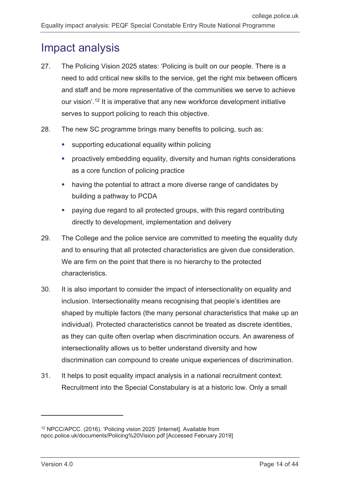## <span id="page-13-0"></span>Impact analysis

- 27. The Policing Vision 2025 states: 'Policing is built on our people. There is a need to add critical new skills to the service, get the right mix between officers and staff and be more representative of the communities we serve to achieve our vision'.[12](#page-13-1) It is imperative that any new workforce development initiative serves to support policing to reach this objective.
- 28. The new SC programme brings many benefits to policing, such as:
	- supporting educational equality within policing
	- proactively embedding equality, diversity and human rights considerations as a core function of policing practice
	- having the potential to attract a more diverse range of candidates by building a pathway to PCDA
	- paying due regard to all protected groups, with this regard contributing directly to development, implementation and delivery
- 29. The College and the police service are committed to meeting the equality duty and to ensuring that all protected characteristics are given due consideration. We are firm on the point that there is no hierarchy to the protected characteristics.
- 30. It is also important to consider the impact of intersectionality on equality and inclusion. Intersectionality means recognising that people's identities are shaped by multiple factors (the many personal characteristics that make up an individual). Protected characteristics cannot be treated as discrete identities, as they can quite often overlap when discrimination occurs. An awareness of intersectionality allows us to better understand diversity and how discrimination can compound to create unique experiences of discrimination.
- 31. It helps to posit equality impact analysis in a national recruitment context. Recruitment into the Special Constabulary is at a historic low. Only a small

 $\overline{a}$ 

<span id="page-13-1"></span><sup>12</sup> NPCC/APCC. (2016). 'Policing vision 2025' [internet]. Available from npcc.police.uk/documents/Policing%20Vision.pdf [Accessed February 2019]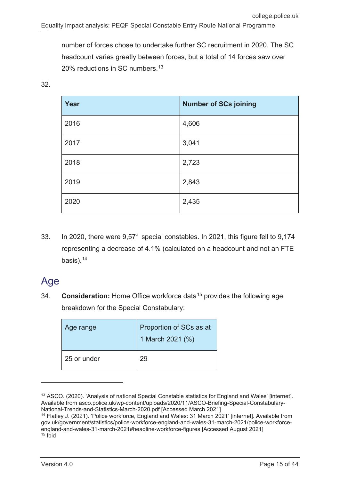number of forces chose to undertake further SC recruitment in 2020. The SC headcount varies greatly between forces, but a total of 14 forces saw over 20% reductions in SC numbers.<sup>[13](#page-14-1)</sup>

32.

| Year | <b>Number of SCs joining</b> |
|------|------------------------------|
| 2016 | 4,606                        |
| 2017 | 3,041                        |
| 2018 | 2,723                        |
| 2019 | 2,843                        |
| 2020 | 2,435                        |

33. In 2020, there were 9,571 special constables. In 2021, this figure fell to 9,174 representing a decrease of 4.1% (calculated on a headcount and not an FTE basis).[14](#page-14-2)

### <span id="page-14-0"></span>Age

-

34. **Consideration:** Home Office workforce data[15](#page-14-3) provides the following age breakdown for the Special Constabulary:

| Age range   | Proportion of SCs as at<br>1 March 2021 (%) |
|-------------|---------------------------------------------|
| 25 or under | 29                                          |

<span id="page-14-1"></span><sup>13</sup> ASCO. (2020). 'Analysis of national Special Constable statistics for England and Wales' [internet]. Available from asco.police.uk/wp-content/uploads/2020/11/ASCO-Briefing-Special-Constabulary-National-Trends-and-Statistics-March-2020.pdf [Accessed March 2021]

<span id="page-14-3"></span><span id="page-14-2"></span><sup>14</sup> Flatley J. (2021). 'Police workforce, England and Wales: 31 March 2021' [internet]. Available from gov.uk/government/statistics/police-workforce-england-and-wales-31-march-2021/police-workforceengland-and-wales-31-march-2021#headline-workforce-figures [Accessed August 2021]  $15$  lbid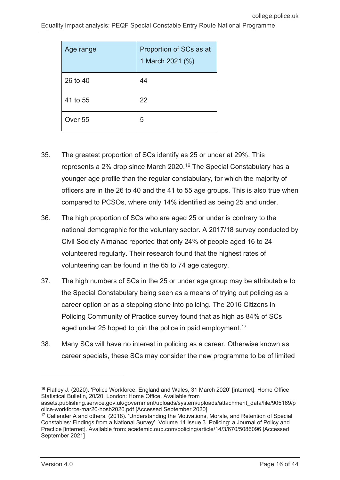| Age range | Proportion of SCs as at<br>1 March 2021 (%) |
|-----------|---------------------------------------------|
| 26 to 40  | 44                                          |
| 41 to 55  | 22                                          |
| Over 55   | 5                                           |

- 35. The greatest proportion of SCs identify as 25 or under at 29%. This represents a 2% drop since March 2020.<sup>[16](#page-15-0)</sup> The Special Constabulary has a younger age profile than the regular constabulary, for which the majority of officers are in the 26 to 40 and the 41 to 55 age groups. This is also true when compared to PCSOs, where only 14% identified as being 25 and under.
- 36. The high proportion of SCs who are aged 25 or under is contrary to the national demographic for the voluntary sector. A 2017/18 survey conducted by Civil Society Almanac reported that only 24% of people aged 16 to 24 volunteered regularly. Their research found that the highest rates of volunteering can be found in the 65 to 74 age category.
- 37. The high numbers of SCs in the 25 or under age group may be attributable to the Special Constabulary being seen as a means of trying out policing as a career option or as a stepping stone into policing. The 2016 Citizens in Policing Community of Practice survey found that as high as 84% of SCs aged under 25 hoped to join the police in paid employment.<sup>[17](#page-15-1)</sup>
- 38. Many SCs will have no interest in policing as a career. Otherwise known as career specials, these SCs may consider the new programme to be of limited

 $\overline{a}$ 

<span id="page-15-0"></span><sup>&</sup>lt;sup>16</sup> Flatley J. (2020). 'Police Workforce, England and Wales, 31 March 2020' [internet]. Home Office Statistical Bulletin, 20/20. London: Home Office. Available from

assets.publishing.service.gov.uk/government/uploads/system/uploads/attachment\_data/file/905169/p olice-workforce-mar20-hosb2020.pdf [Accessed September 2020]

<span id="page-15-1"></span><sup>&</sup>lt;sup>17</sup> Callender A and others. (2018). 'Understanding the Motivations, Morale, and Retention of Special Constables: Findings from a National Survey'. Volume 14 Issue 3. Policing: a Journal of Policy and Practice [internet]. Available from: academic.oup.com/policing/article/14/3/670/5086096 [Accessed September 2021]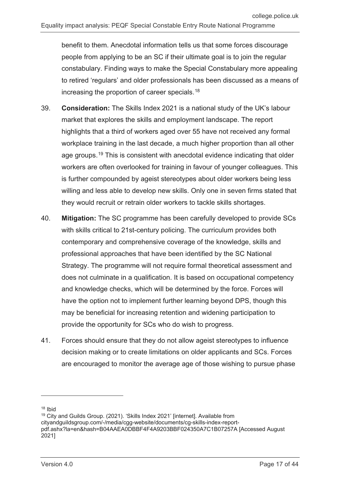benefit to them. Anecdotal information tells us that some forces discourage people from applying to be an SC if their ultimate goal is to join the regular constabulary. Finding ways to make the Special Constabulary more appealing to retired 'regulars' and older professionals has been discussed as a means of increasing the proportion of career specials.[18](#page-16-0)

- 39. **Consideration:** The Skills Index 2021 is a national study of the UK's labour market that explores the skills and employment landscape. The report highlights that a third of workers aged over 55 have not received any formal workplace training in the last decade, a much higher proportion than all other age groups.[19](#page-16-1) This is consistent with anecdotal evidence indicating that older workers are often overlooked for training in favour of younger colleagues. This is further compounded by ageist stereotypes about older workers being less willing and less able to develop new skills. Only one in seven firms stated that they would recruit or retrain older workers to tackle skills shortages.
- 40. **Mitigation:** The SC programme has been carefully developed to provide SCs with skills critical to 21st-century policing. The curriculum provides both contemporary and comprehensive coverage of the knowledge, skills and professional approaches that have been identified by the SC National Strategy. The programme will not require formal theoretical assessment and does not culminate in a qualification. It is based on occupational competency and knowledge checks, which will be determined by the force. Forces will have the option not to implement further learning beyond DPS, though this may be beneficial for increasing retention and widening participation to provide the opportunity for SCs who do wish to progress.
- 41. Forces should ensure that they do not allow ageist stereotypes to influence decision making or to create limitations on older applicants and SCs. Forces are encouraged to monitor the average age of those wishing to pursue phase

 $\overline{a}$ 

<span id="page-16-0"></span><sup>18</sup> Ibid

<span id="page-16-1"></span><sup>19</sup> City and Guilds Group. (2021). 'Skills Index 2021' [internet]. Available from cityandguildsgroup.com/-/media/cgg-website/documents/cg-skills-index-reportpdf.ashx?la=en&hash=B04AAEA0DBBF4F4A9203BBF024350A7C1B07257A [Accessed August 2021]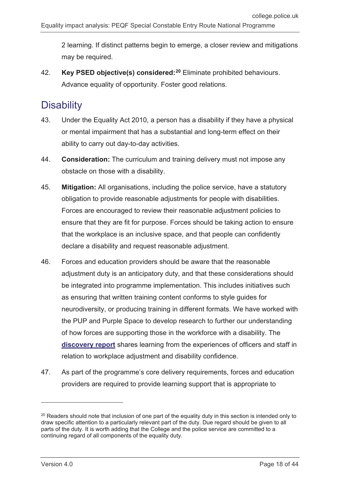2 learning. If distinct patterns begin to emerge, a closer review and mitigations may be required.

42. **Key PSED objective(s) considered:[20](#page-17-1)** Eliminate prohibited behaviours. Advance equality of opportunity. Foster good relations.

### <span id="page-17-0"></span>**Disability**

- 43. Under the Equality Act 2010, a person has a disability if they have a physical or mental impairment that has a substantial and long-term effect on their ability to carry out day-to-day activities.
- 44. **Consideration:** The curriculum and training delivery must not impose any obstacle on those with a disability.
- 45. **Mitigation:** All organisations, including the police service, have a statutory obligation to provide reasonable adjustments for people with disabilities. Forces are encouraged to review their reasonable adjustment policies to ensure that they are fit for purpose. Forces should be taking action to ensure that the workplace is an inclusive space, and that people can confidently declare a disability and request reasonable adjustment.
- 46. Forces and education providers should be aware that the reasonable adjustment duty is an anticipatory duty, and that these considerations should be integrated into programme implementation. This includes initiatives such as ensuring that written training content conforms to style guides for neurodiversity, or producing training in different formats. We have worked with the PUP and Purple Space to develop research to further our understanding of how forces are supporting those in the workforce with a disability. The **[discovery report](https://paas-s3-broker-prod-lon-6453d964-1d1a-432a-9260-5e0ba7d2fc51.s3.eu-west-2.amazonaws.com/s3fs-public/2021-08/discovery-report-workplace-adjustments.pdf)** shares learning from the experiences of officers and staff in relation to workplace adjustment and disability confidence.
- 47. As part of the programme's core delivery requirements, forces and education providers are required to provide learning support that is appropriate to

<span id="page-17-1"></span> $20$  Readers should note that inclusion of one part of the equality duty in this section is intended only to draw specific attention to a particularly relevant part of the duty. Due regard should be given to all parts of the duty. It is worth adding that the College and the police service are committed to a continuing regard of all components of the equality duty.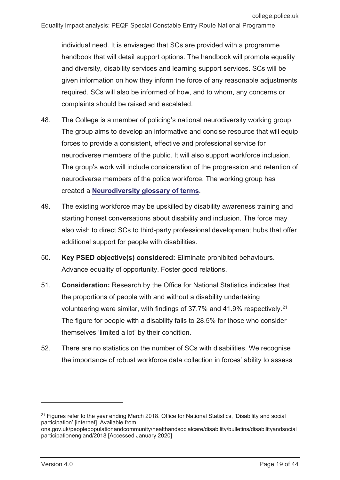individual need. It is envisaged that SCs are provided with a programme handbook that will detail support options. The handbook will promote equality and diversity, disability services and learning support services. SCs will be given information on how they inform the force of any reasonable adjustments required. SCs will also be informed of how, and to whom, any concerns or complaints should be raised and escalated.

- 48. The College is a member of policing's national neurodiversity working group. The group aims to develop an informative and concise resource that will equip forces to provide a consistent, effective and professional service for neurodiverse members of the public. It will also support workforce inclusion. The group's work will include consideration of the progression and retention of neurodiverse members of the police workforce. The working group has created a **Neurodiversity [glossary of terms](https://paas-s3-broker-prod-lon-6453d964-1d1a-432a-9260-5e0ba7d2fc51.s3.eu-west-2.amazonaws.com/s3fs-public/2021-06/neurodiversity-glossary-of-terms.pdf)**.
- 49. The existing workforce may be upskilled by disability awareness training and starting honest conversations about disability and inclusion. The force may also wish to direct SCs to third-party professional development hubs that offer additional support for people with disabilities.
- 50. **Key PSED objective(s) considered:** Eliminate prohibited behaviours. Advance equality of opportunity. Foster good relations.
- 51. **Consideration:** Research by the Office for National Statistics indicates that the proportions of people with and without a disability undertaking volunteering were similar, with findings of 37.7% and 41.9% respectively.[21](#page-18-0) The figure for people with a disability falls to 28.5% for those who consider themselves 'limited a lot' by their condition.
- 52. There are no statistics on the number of SCs with disabilities. We recognise the importance of robust workforce data collection in forces' ability to assess

<span id="page-18-0"></span><sup>&</sup>lt;sup>21</sup> Figures refer to the year ending March 2018. Office for National Statistics, 'Disability and social participation' [internet]. Available from

ons.gov.uk/peoplepopulationandcommunity/healthandsocialcare/disability/bulletins/disabilityandsocial participationengland/2018 [Accessed January 2020]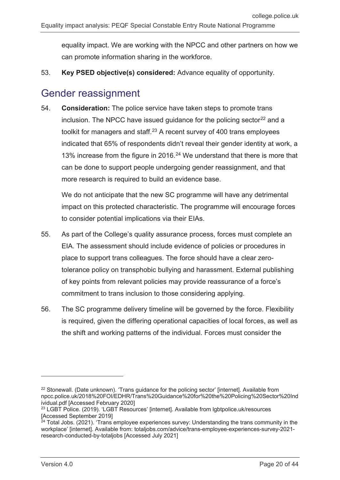equality impact. We are working with the NPCC and other partners on how we can promote information sharing in the workforce.

53. **Key PSED objective(s) considered:** Advance equality of opportunity.

### <span id="page-19-0"></span>Gender reassignment

54. **Consideration:** The police service have taken steps to promote trans inclusion. The NPCC have issued guidance for the policing sector<sup>[22](#page-19-1)</sup> and a toolkit for managers and staff.<sup>[23](#page-19-2)</sup> A recent survey of 400 trans employees indicated that 65% of respondents didn't reveal their gender identity at work, a 13% increase from the figure in 2016. [24](#page-19-3) We understand that there is more that can be done to support people undergoing gender reassignment, and that more research is required to build an evidence base.

We do not anticipate that the new SC programme will have any detrimental impact on this protected characteristic. The programme will encourage forces to consider potential implications via their EIAs.

- 55. As part of the College's quality assurance process, forces must complete an EIA. The assessment should include evidence of policies or procedures in place to support trans colleagues. The force should have a clear zerotolerance policy on transphobic bullying and harassment. External publishing of key points from relevant policies may provide reassurance of a force's commitment to trans inclusion to those considering applying.
- 56. The SC programme delivery timeline will be governed by the force. Flexibility is required, given the differing operational capacities of local forces, as well as the shift and working patterns of the individual. Forces must consider the

 $\overline{a}$ 

<span id="page-19-1"></span><sup>&</sup>lt;sup>22</sup> Stonewall. (Date unknown). 'Trans guidance for the policing sector' [internet]. Available from npcc.police.uk/2018%20FOI/EDHR/Trans%20Guidance%20for%20the%20Policing%20Sector%20Ind ividual.pdf [Accessed February 2020]

<span id="page-19-2"></span><sup>23</sup> LGBT Police. (2019). 'LGBT Resources' [internet]. Available from lgbtpolice.uk/resources [Accessed September 2019]

<span id="page-19-3"></span> $24$  Total Jobs. (2021). 'Trans employee experiences survey: Understanding the trans community in the workplace' [internet]. Available from: totaljobs.com/advice/trans-employee-experiences-survey-2021 research-conducted-by-totaljobs [Accessed July 2021]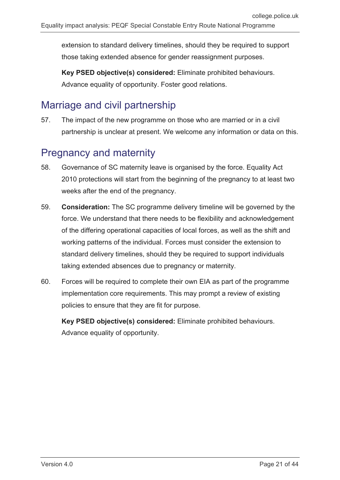extension to standard delivery timelines, should they be required to support those taking extended absence for gender reassignment purposes.

**Key PSED objective(s) considered:** Eliminate prohibited behaviours. Advance equality of opportunity. Foster good relations.

## <span id="page-20-0"></span>Marriage and civil partnership

57. The impact of the new programme on those who are married or in a civil partnership is unclear at present. We welcome any information or data on this.

## <span id="page-20-1"></span>Pregnancy and maternity

- 58. Governance of SC maternity leave is organised by the force. Equality Act 2010 protections will start from the beginning of the pregnancy to at least two weeks after the end of the pregnancy.
- 59. **Consideration:** The SC programme delivery timeline will be governed by the force. We understand that there needs to be flexibility and acknowledgement of the differing operational capacities of local forces, as well as the shift and working patterns of the individual. Forces must consider the extension to standard delivery timelines, should they be required to support individuals taking extended absences due to pregnancy or maternity.
- 60. Forces will be required to complete their own EIA as part of the programme implementation core requirements. This may prompt a review of existing policies to ensure that they are fit for purpose.

**Key PSED objective(s) considered:** Eliminate prohibited behaviours. Advance equality of opportunity.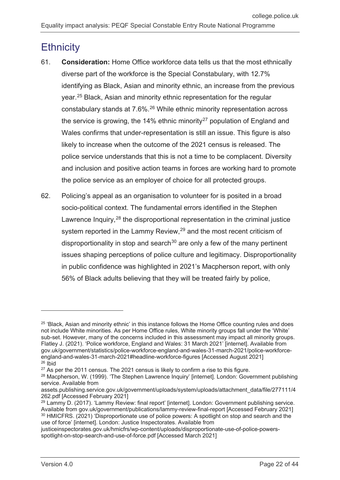### <span id="page-21-0"></span>**Ethnicity**

- 61. **Consideration:** Home Office workforce data tells us that the most ethnically diverse part of the workforce is the Special Constabulary, with 12.7% identifying as Black, Asian and minority ethnic, an increase from the previous year.[25](#page-21-1) Black, Asian and minority ethnic representation for the regular constabulary stands at 7.6%.[26](#page-21-2) While ethnic minority representation across the service is growing, the 14% ethnic minority<sup>[27](#page-21-3)</sup> population of England and Wales confirms that under-representation is still an issue. This figure is also likely to increase when the outcome of the 2021 census is released. The police service understands that this is not a time to be complacent. Diversity and inclusion and positive action teams in forces are working hard to promote the police service as an employer of choice for all protected groups.
- 62. Policing's appeal as an organisation to volunteer for is posited in a broad socio-political context. The fundamental errors identified in the Stephen Lawrence Inquiry,<sup>[28](#page-21-4)</sup> the disproportional representation in the criminal justice system reported in the Lammy Review,<sup>[29](#page-21-5)</sup> and the most recent criticism of disproportionality in stop and search<sup>[30](#page-21-6)</sup> are only a few of the many pertinent issues shaping perceptions of police culture and legitimacy. Disproportionality in public confidence was highlighted in 2021's Macpherson report, with only 56% of Black adults believing that they will be treated fairly by police,

<span id="page-21-1"></span> $25$  'Black, Asian and minority ethnic' in this instance follows the Home Office counting rules and does not include White minorities. As per Home Office rules, White minority groups fall under the 'White' sub-set. However, many of the concerns included in this assessment may impact all minority groups. Flatley J. (2021). 'Police workforce, England and Wales: 31 March 2021' [internet]. Available from gov.uk/government/statistics/police-workforce-england-and-wales-31-march-2021/police-workforceengland-and-wales-31-march-2021#headline-workforce-figures [Accessed August 2021]  $26$  Ibid

<span id="page-21-3"></span><span id="page-21-2"></span> $27$  As per the 2011 census. The 2021 census is likely to confirm a rise to this figure.

<span id="page-21-4"></span><sup>&</sup>lt;sup>28</sup> Macpherson, W. (1999). 'The Stephen Lawrence Inquiry' [internet]. London: Government publishing service. Available from

assets.publishing.service.gov.uk/government/uploads/system/uploads/attachment\_data/file/277111/4 262.pdf [Accessed February 2021]

<span id="page-21-5"></span> $^{29}$  Lammy D. (2017). 'Lammy Review: final report' [internet]. London: Government publishing service. Available from gov.uk/government/publications/lammy-review-final-report [Accessed February 2021] <sup>30</sup> HMICFRS. (2021) 'Disproportionate use of police powers: A spotlight on stop and search and the use of force' [internet]. London: Justice Inspectorates. Available from

<span id="page-21-6"></span>justiceinspectorates.gov.uk/hmicfrs/wp-content/uploads/disproportionate-use-of-police-powersspotlight-on-stop-search-and-use-of-force.pdf [Accessed March 2021]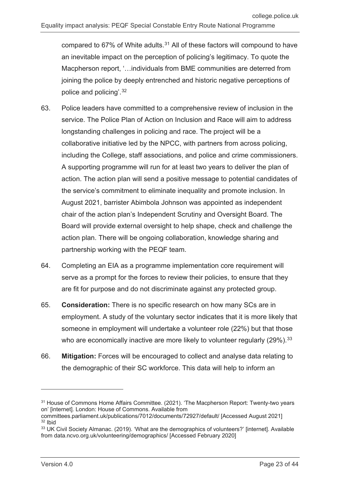compared to 67% of White adults.<sup>[31](#page-22-0)</sup> All of these factors will compound to have an inevitable impact on the perception of policing's legitimacy. To quote the Macpherson report, '…individuals from BME communities are deterred from joining the police by deeply entrenched and historic negative perceptions of police and policing'.[32](#page-22-1)

- 63. Police leaders have committed to a comprehensive review of inclusion in the service. The Police Plan of Action on Inclusion and Race will aim to address longstanding challenges in policing and race. The project will be a collaborative initiative led by the NPCC, with partners from across policing, including the College, staff associations, and police and crime commissioners. A supporting programme will run for at least two years to deliver the plan of action. The action plan will send a positive message to potential candidates of the service's commitment to eliminate inequality and promote inclusion. In August 2021, barrister Abimbola Johnson was appointed as independent chair of the action plan's Independent Scrutiny and Oversight Board. The Board will provide external oversight to help shape, check and challenge the action plan. There will be ongoing collaboration, knowledge sharing and partnership working with the PEQF team.
- 64. Completing an EIA as a programme implementation core requirement will serve as a prompt for the forces to review their policies, to ensure that they are fit for purpose and do not discriminate against any protected group.
- 65. **Consideration:** There is no specific research on how many SCs are in employment. A study of the voluntary sector indicates that it is more likely that someone in employment will undertake a volunteer role (22%) but that those who are economically inactive are more likely to volunteer regularly (29%).<sup>[33](#page-22-2)</sup>
- 66. **Mitigation:** Forces will be encouraged to collect and analyse data relating to the demographic of their SC workforce. This data will help to inform an

<span id="page-22-0"></span><sup>&</sup>lt;sup>31</sup> House of Commons Home Affairs Committee. (2021). 'The Macpherson Report: Twenty-two years on' [internet]. London: House of Commons. Available from

committees.parliament.uk/publications/7012/documents/72927/default/ [Accessed August 2021]  $32$  Ibid

<span id="page-22-2"></span><span id="page-22-1"></span><sup>&</sup>lt;sup>33</sup> UK Civil Society Almanac. (2019). 'What are the demographics of volunteers?' [internet]. Available from data.ncvo.org.uk/volunteering/demographics/ [Accessed February 2020]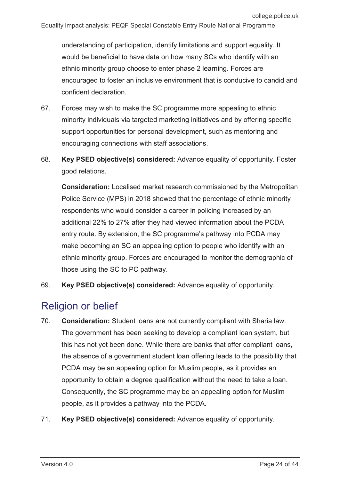understanding of participation, identify limitations and support equality. It would be beneficial to have data on how many SCs who identify with an ethnic minority group choose to enter phase 2 learning. Forces are encouraged to foster an inclusive environment that is conducive to candid and confident declaration.

- 67. Forces may wish to make the SC programme more appealing to ethnic minority individuals via targeted marketing initiatives and by offering specific support opportunities for personal development, such as mentoring and encouraging connections with staff associations.
- 68. **Key PSED objective(s) considered:** Advance equality of opportunity. Foster good relations.

**Consideration:** Localised market research commissioned by the Metropolitan Police Service (MPS) in 2018 showed that the percentage of ethnic minority respondents who would consider a career in policing increased by an additional 22% to 27% after they had viewed information about the PCDA entry route. By extension, the SC programme's pathway into PCDA may make becoming an SC an appealing option to people who identify with an ethnic minority group. Forces are encouraged to monitor the demographic of those using the SC to PC pathway.

69. **Key PSED objective(s) considered:** Advance equality of opportunity.

### <span id="page-23-0"></span>Religion or belief

- 70. **Consideration:** Student loans are not currently compliant with Sharia law. The government has been seeking to develop a compliant loan system, but this has not yet been done. While there are banks that offer compliant loans, the absence of a government student loan offering leads to the possibility that PCDA may be an appealing option for Muslim people, as it provides an opportunity to obtain a degree qualification without the need to take a loan. Consequently, the SC programme may be an appealing option for Muslim people, as it provides a pathway into the PCDA.
- 71. **Key PSED objective(s) considered:** Advance equality of opportunity.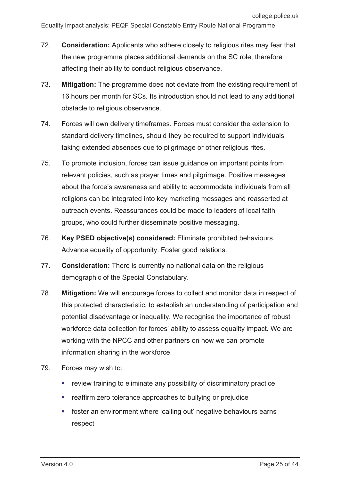- 72. **Consideration:** Applicants who adhere closely to religious rites may fear that the new programme places additional demands on the SC role, therefore affecting their ability to conduct religious observance.
- 73. **Mitigation:** The programme does not deviate from the existing requirement of 16 hours per month for SCs. Its introduction should not lead to any additional obstacle to religious observance.
- 74. Forces will own delivery timeframes. Forces must consider the extension to standard delivery timelines, should they be required to support individuals taking extended absences due to pilgrimage or other religious rites.
- 75. To promote inclusion, forces can issue guidance on important points from relevant policies, such as prayer times and pilgrimage. Positive messages about the force's awareness and ability to accommodate individuals from all religions can be integrated into key marketing messages and reasserted at outreach events. Reassurances could be made to leaders of local faith groups, who could further disseminate positive messaging.
- 76. **Key PSED objective(s) considered:** Eliminate prohibited behaviours. Advance equality of opportunity. Foster good relations.
- 77. **Consideration:** There is currently no national data on the religious demographic of the Special Constabulary.
- 78. **Mitigation:** We will encourage forces to collect and monitor data in respect of this protected characteristic, to establish an understanding of participation and potential disadvantage or inequality. We recognise the importance of robust workforce data collection for forces' ability to assess equality impact. We are working with the NPCC and other partners on how we can promote information sharing in the workforce.
- 79. Forces may wish to:
	- **•** review training to eliminate any possibility of discriminatory practice
	- **•** reaffirm zero tolerance approaches to bullying or prejudice
	- foster an environment where 'calling out' negative behaviours earns respect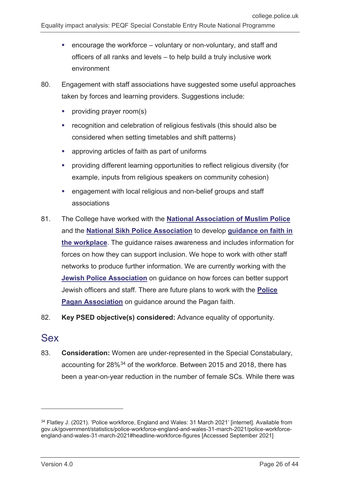- **e** encourage the workforce  $-$  voluntary or non-voluntary, and staff and officers of all ranks and levels – to help build a truly inclusive work environment
- 80. Engagement with staff associations have suggested some useful approaches taken by forces and learning providers. Suggestions include:
	- providing prayer room(s)
	- recognition and celebration of religious festivals (this should also be considered when setting timetables and shift patterns)
	- approving articles of faith as part of uniforms
	- providing different learning opportunities to reflect religious diversity (for example, inputs from religious speakers on community cohesion)
	- engagement with local religious and non-belief groups and staff associations
- 81. The College have worked with the **[National Association of Muslim Police](https://muslim.police.uk/)** and the **[National Sikh Police Association](https://www.joiningthepolice.co.uk/supporting-diversity/support-organisations/national-sikh-police-association)** to develop **[guidance on faith in](https://www.college.police.uk/support-forces/diversity-and-inclusion)  [the workplace](https://www.college.police.uk/support-forces/diversity-and-inclusion)**. The guidance raises awareness and includes information for forces on how they can support inclusion. We hope to work with other staff networks to produce further information. We are currently working with the **[Jewish Police Association](https://jewishpoliceassociation.org.uk/)** on guidance on how forces can better support Jewish officers and staff. There are future plans to work with the **[Police](https://policepaganassociation.org/)  [Pagan Association](https://policepaganassociation.org/)** on guidance around the Pagan faith.
- 82. **Key PSED objective(s) considered:** Advance equality of opportunity.

### <span id="page-25-0"></span>Sex

-

83. **Consideration:** Women are under-represented in the Special Constabulary, accounting for 28%[34](#page-25-1) of the workforce. Between 2015 and 2018, there has been a year-on-year reduction in the number of female SCs. While there was

<span id="page-25-1"></span><sup>34</sup> Flatley J. (2021). 'Police workforce, England and Wales: 31 March 2021' [internet]. Available from gov.uk/government/statistics/police-workforce-england-and-wales-31-march-2021/police-workforceengland-and-wales-31-march-2021#headline-workforce-figures [Accessed September 2021]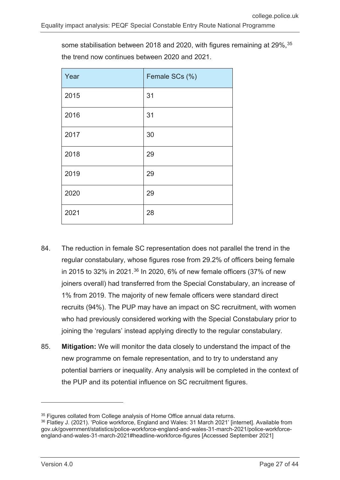some stabilisation between 2018 and 2020, with figures remaining at 29%, [35](#page-26-0) the trend now continues between 2020 and 2021.

| Year | Female SCs (%) |
|------|----------------|
| 2015 | 31             |
| 2016 | 31             |
| 2017 | 30             |
| 2018 | 29             |
| 2019 | 29             |
| 2020 | 29             |
| 2021 | 28             |

- 84. The reduction in female SC representation does not parallel the trend in the regular constabulary, whose figures rose from 29.2% of officers being female in 2015 to 32% in 2021. $36$  In 2020, 6% of new female officers (37% of new joiners overall) had transferred from the Special Constabulary, an increase of 1% from 2019. The majority of new female officers were standard direct recruits (94%). The PUP may have an impact on SC recruitment, with women who had previously considered working with the Special Constabulary prior to joining the 'regulars' instead applying directly to the regular constabulary.
- 85. **Mitigation:** We will monitor the data closely to understand the impact of the new programme on female representation, and to try to understand any potential barriers or inequality. Any analysis will be completed in the context of the PUP and its potential influence on SC recruitment figures.

<span id="page-26-0"></span><sup>&</sup>lt;sup>35</sup> Figures collated from College analysis of Home Office annual data returns.

<span id="page-26-1"></span><sup>&</sup>lt;sup>36</sup> Flatley J. (2021). 'Police workforce, England and Wales: 31 March 2021' [internet]. Available from gov.uk/government/statistics/police-workforce-england-and-wales-31-march-2021/police-workforceengland-and-wales-31-march-2021#headline-workforce-figures [Accessed September 2021]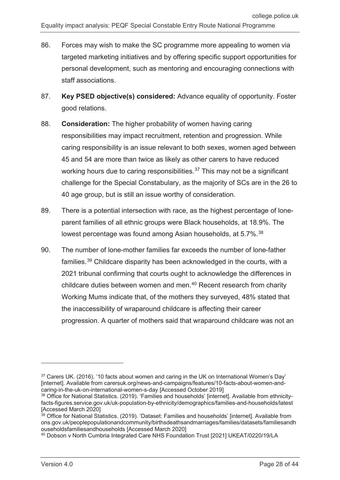- 86. Forces may wish to make the SC programme more appealing to women via targeted marketing initiatives and by offering specific support opportunities for personal development, such as mentoring and encouraging connections with staff associations.
- 87. **Key PSED objective(s) considered:** Advance equality of opportunity. Foster good relations.
- 88. **Consideration:** The higher probability of women having caring responsibilities may impact recruitment, retention and progression. While caring responsibility is an issue relevant to both sexes, women aged between 45 and 54 are more than twice as likely as other carers to have reduced working hours due to caring responsibilities.<sup>[37](#page-27-0)</sup> This may not be a significant challenge for the Special Constabulary, as the majority of SCs are in the 26 to 40 age group, but is still an issue worthy of consideration.
- 89. There is a potential intersection with race, as the highest percentage of loneparent families of all ethnic groups were Black households, at 18.9%. The lowest percentage was found among Asian households, at 5.7%.<sup>[38](#page-27-1)</sup>
- 90. The number of lone-mother families far exceeds the number of lone-father families.[39](#page-27-2) Childcare disparity has been acknowledged in the courts, with a 2021 tribunal confirming that courts ought to acknowledge the differences in childcare duties between women and men.<sup>[40](#page-27-3)</sup> Recent research from charity Working Mums indicate that, of the mothers they surveyed, 48% stated that the inaccessibility of wraparound childcare is affecting their career progression. A quarter of mothers said that wraparound childcare was not an

<span id="page-27-0"></span><sup>&</sup>lt;sup>37</sup> Carers UK. (2016). '10 facts about women and caring in the UK on International Women's Day' [internet]. Available from carersuk.org/news-and-campaigns/features/10-facts-about-women-andcaring-in-the-uk-on-international-women-s-day [Accessed October 2019]

<span id="page-27-1"></span><sup>&</sup>lt;sup>38</sup> Office for National Statistics. (2019). 'Families and households' [internet]. Available from ethnicityfacts-figures.service.gov.uk/uk-population-by-ethnicity/demographics/families-and-households/latest [Accessed March 2020]

<span id="page-27-2"></span><sup>39</sup> Office for National Statistics. (2019). 'Dataset: Families and households' [internet]. Available from ons.gov.uk/peoplepopulationandcommunity/birthsdeathsandmarriages/families/datasets/familiesandh ouseholdsfamiliesandhouseholds [Accessed March 2020]

<span id="page-27-3"></span><sup>40</sup> Dobson v North Cumbria Integrated Care NHS Foundation Trust [2021] UKEAT/0220/19/LA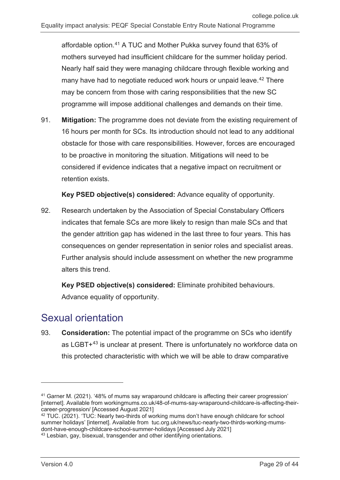affordable option.<sup>[41](#page-28-1)</sup> A TUC and Mother Pukka survey found that 63% of mothers surveyed had insufficient childcare for the summer holiday period. Nearly half said they were managing childcare through flexible working and many have had to negotiate reduced work hours or unpaid leave.<sup>[42](#page-28-2)</sup> There may be concern from those with caring responsibilities that the new SC programme will impose additional challenges and demands on their time.

91. **Mitigation:** The programme does not deviate from the existing requirement of 16 hours per month for SCs. Its introduction should not lead to any additional obstacle for those with care responsibilities. However, forces are encouraged to be proactive in monitoring the situation. Mitigations will need to be considered if evidence indicates that a negative impact on recruitment or retention exists.

**Key PSED objective(s) considered:** Advance equality of opportunity.

92. Research undertaken by the Association of Special Constabulary Officers indicates that female SCs are more likely to resign than male SCs and that the gender attrition gap has widened in the last three to four years. This has consequences on gender representation in senior roles and specialist areas. Further analysis should include assessment on whether the new programme alters this trend.

**Key PSED objective(s) considered:** Eliminate prohibited behaviours. Advance equality of opportunity.

### <span id="page-28-0"></span>Sexual orientation

93. **Consideration:** The potential impact of the programme on SCs who identify as LGBT+[43](#page-28-3) is unclear at present. There is unfortunately no workforce data on this protected characteristic with which we will be able to draw comparative

<span id="page-28-1"></span><sup>41</sup> Garner M. (2021). '48% of mums say wraparound childcare is affecting their career progression' [internet]. Available from workingmums.co.uk/48-of-mums-say-wraparound-childcare-is-affecting-theircareer-progression/ [Accessed August 2021]

<span id="page-28-2"></span><sup>&</sup>lt;sup>42</sup> TUC. (2021). 'TUC: Nearly two-thirds of working mums don't have enough childcare for school summer holidays' [internet]. Available from tuc.org.uk/news/tuc-nearly-two-thirds-working-mumsdont-have-enough-childcare-school-summer-holidays [Accessed July 2021]

<span id="page-28-3"></span><sup>43</sup> Lesbian, gay, bisexual, transgender and other identifying orientations.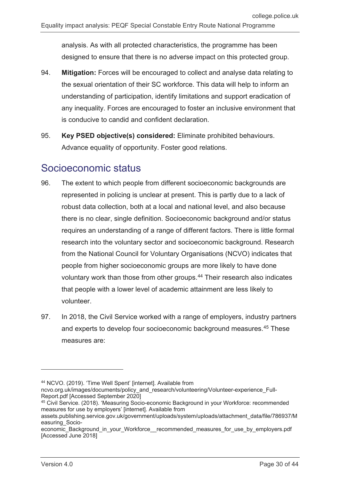analysis. As with all protected characteristics, the programme has been designed to ensure that there is no adverse impact on this protected group.

- 94. **Mitigation:** Forces will be encouraged to collect and analyse data relating to the sexual orientation of their SC workforce. This data will help to inform an understanding of participation, identify limitations and support eradication of any inequality. Forces are encouraged to foster an inclusive environment that is conducive to candid and confident declaration.
- 95. **Key PSED objective(s) considered:** Eliminate prohibited behaviours. Advance equality of opportunity. Foster good relations.

### <span id="page-29-0"></span>Socioeconomic status

- 96. The extent to which people from different socioeconomic backgrounds are represented in policing is unclear at present. This is partly due to a lack of robust data collection, both at a local and national level, and also because there is no clear, single definition. Socioeconomic background and/or status requires an understanding of a range of different factors. There is little formal research into the voluntary sector and socioeconomic background. Research from the National Council for Voluntary Organisations (NCVO) indicates that people from higher socioeconomic groups are more likely to have done voluntary work than those from other groups.[44](#page-29-1) Their research also indicates that people with a lower level of academic attainment are less likely to volunteer.
- 97. In 2018, the Civil Service worked with a range of employers, industry partners and experts to develop four socioeconomic background measures.[45](#page-29-2) These measures are:

<span id="page-29-1"></span><sup>44</sup> NCVO. (2019). 'Time Well Spent' [internet]. Available from

ncvo.org.uk/images/documents/policy\_and\_research/volunteering/Volunteer-experience\_Full-Report.pdf [Accessed September 2020]

<span id="page-29-2"></span><sup>45</sup> Civil Service. (2018). 'Measuring Socio-economic Background in your Workforce: recommended measures for use by employers' [internet]. Available from

assets.publishing.service.gov.uk/government/uploads/system/uploads/attachment\_data/file/786937/M easuring\_Socio-

economic\_Background\_in\_your\_Workforce\_\_recommended\_measures\_for\_use\_by\_employers.pdf [Accessed June 2018]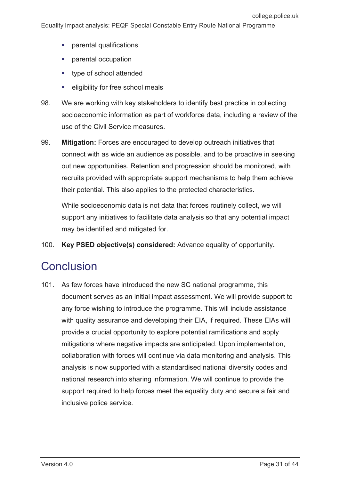- **•** parental qualifications
- parental occupation
- **type of school attended**
- eligibility for free school meals
- 98. We are working with key stakeholders to identify best practice in collecting socioeconomic information as part of workforce data, including a review of the use of the Civil Service measures.
- 99. **Mitigation:** Forces are encouraged to develop outreach initiatives that connect with as wide an audience as possible, and to be proactive in seeking out new opportunities. Retention and progression should be monitored, with recruits provided with appropriate support mechanisms to help them achieve their potential. This also applies to the protected characteristics.

While socioeconomic data is not data that forces routinely collect, we will support any initiatives to facilitate data analysis so that any potential impact may be identified and mitigated for.

100. **Key PSED objective(s) considered:** Advance equality of opportunity**.**

### <span id="page-30-0"></span>**Conclusion**

101. As few forces have introduced the new SC national programme, this document serves as an initial impact assessment. We will provide support to any force wishing to introduce the programme. This will include assistance with quality assurance and developing their EIA, if required. These EIAs will provide a crucial opportunity to explore potential ramifications and apply mitigations where negative impacts are anticipated. Upon implementation, collaboration with forces will continue via data monitoring and analysis. This analysis is now supported with a standardised national diversity codes and national research into sharing information. We will continue to provide the support required to help forces meet the equality duty and secure a fair and inclusive police service.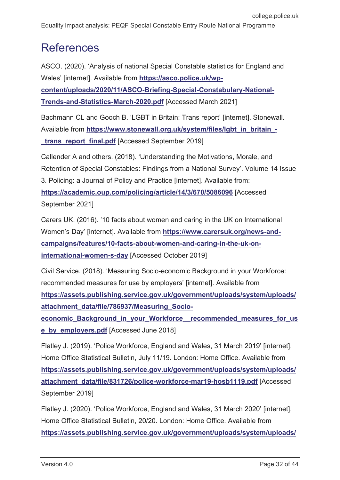## <span id="page-31-0"></span>**References**

ASCO. (2020). 'Analysis of national Special Constable statistics for England and Wales' [internet]. Available from **[https://asco.police.uk/wp](https://asco.police.uk/wp-content/uploads/2020/11/ASCO-Briefing-Special-Constabulary-National-Trends-and-Statistics-March-2020.pdf)[content/uploads/2020/11/ASCO-Briefing-Special-Constabulary-National-](https://asco.police.uk/wp-content/uploads/2020/11/ASCO-Briefing-Special-Constabulary-National-Trends-and-Statistics-March-2020.pdf)[Trends-and-Statistics-March-2020.pdf](https://asco.police.uk/wp-content/uploads/2020/11/ASCO-Briefing-Special-Constabulary-National-Trends-and-Statistics-March-2020.pdf)** [Accessed March 2021]

Bachmann CL and Gooch B. 'LGBT in Britain: Trans report' [internet]. Stonewall. Available from **[https://www.stonewall.org.uk/system/files/lgbt\\_in\\_britain\\_-](https://www.stonewall.org.uk/system/files/lgbt_in_britain_-_trans_report_final.pdf) [\\_trans\\_report\\_final.pdf](https://www.stonewall.org.uk/system/files/lgbt_in_britain_-_trans_report_final.pdf)** [Accessed September 2019]

Callender A and others. (2018). 'Understanding the Motivations, Morale, and Retention of Special Constables: Findings from a National Survey'. Volume 14 Issue 3. Policing: a Journal of Policy and Practice [internet]. Available from: **<https://academic.oup.com/policing/article/14/3/670/5086096>** [Accessed September 2021]

Carers UK. (2016). '10 facts about women and caring in the UK on International Women's Day' [internet]. Available from **[https://www.carersuk.org/news-and](https://www.carersuk.org/news-and-campaigns/features/10-facts-about-women-and-caring-in-the-uk-on-international-women-s-day)[campaigns/features/10-facts-about-women-and-caring-in-the-uk-on](https://www.carersuk.org/news-and-campaigns/features/10-facts-about-women-and-caring-in-the-uk-on-international-women-s-day)[international-women-s-day](https://www.carersuk.org/news-and-campaigns/features/10-facts-about-women-and-caring-in-the-uk-on-international-women-s-day)** [Accessed October 2019]

Civil Service. (2018). 'Measuring Socio-economic Background in your Workforce: recommended measures for use by employers' [internet]. Available from **[https://assets.publishing.service.gov.uk/government/uploads/system/uploads/](https://assets.publishing.service.gov.uk/government/uploads/system/uploads/attachment_data/file/786937/Measuring_Socio-economic_Background_in_your_Workforce__recommended_measures_for_use_by_employers.pdf) [attachment\\_data/file/786937/Measuring\\_Socio-](https://assets.publishing.service.gov.uk/government/uploads/system/uploads/attachment_data/file/786937/Measuring_Socio-economic_Background_in_your_Workforce__recommended_measures_for_use_by_employers.pdf)**

**<u>economic Background in your Workforce recommended measures for us</u> [e\\_by\\_employers.pdf](https://assets.publishing.service.gov.uk/government/uploads/system/uploads/attachment_data/file/786937/Measuring_Socio-economic_Background_in_your_Workforce__recommended_measures_for_use_by_employers.pdf)** [Accessed June 2018]

Flatley J. (2019). 'Police Workforce, England and Wales, 31 March 2019' [internet]. Home Office Statistical Bulletin, July 11/19. London: Home Office. Available from **[https://assets.publishing.service.gov.uk/government/uploads/system/uploads/](https://assets.publishing.service.gov.uk/government/uploads/system/uploads/attachment_data/file/831726/police-workforce-mar19-hosb1119.pdf) [attachment\\_data/file/831726/police-workforce-mar19-hosb1119.pdf](https://assets.publishing.service.gov.uk/government/uploads/system/uploads/attachment_data/file/831726/police-workforce-mar19-hosb1119.pdf)** [Accessed September 2019]

Flatley J. (2020). 'Police Workforce, England and Wales, 31 March 2020' [internet]. Home Office Statistical Bulletin, 20/20. London: Home Office. Available from **[https://assets.publishing.service.gov.uk/government/uploads/system/uploads/](https://assets.publishing.service.gov.uk/government/uploads/system/uploads/attachment_data/file/905169/police-workforce-mar20-hosb2020.pdf)**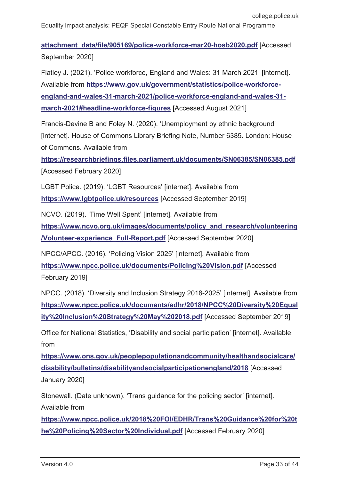**[attachment\\_data/file/905169/police-workforce-mar20-hosb2020.pdf](https://assets.publishing.service.gov.uk/government/uploads/system/uploads/attachment_data/file/905169/police-workforce-mar20-hosb2020.pdf)** [Accessed September 2020]

Flatley J. (2021). 'Police workforce, England and Wales: 31 March 2021' [internet]. Available from **[https://www.gov.uk/government/statistics/police-workforce](https://www.gov.uk/government/statistics/police-workforce-england-and-wales-31-march-2021/police-workforce-england-and-wales-31-march-2021#headline-workforce-figures)[england-and-wales-31-march-2021/police-workforce-england-and-wales-31](https://www.gov.uk/government/statistics/police-workforce-england-and-wales-31-march-2021/police-workforce-england-and-wales-31-march-2021#headline-workforce-figures) [march-2021#headline-workforce-figures](https://www.gov.uk/government/statistics/police-workforce-england-and-wales-31-march-2021/police-workforce-england-and-wales-31-march-2021#headline-workforce-figures)** [Accessed August 2021]

Francis-Devine B and Foley N. (2020). 'Unemployment by ethnic background' [internet]. House of Commons Library Briefing Note, Number 6385. London: House of Commons. Available from

**<https://researchbriefings.files.parliament.uk/documents/SN06385/SN06385.pdf>** [Accessed February 2020]

LGBT Police. (2019). 'LGBT Resources' [internet]. Available from **<https://www.lgbtpolice.uk/resources>** [Accessed September 2019]

NCVO. (2019). 'Time Well Spent' [internet]. Available from **[https://www.ncvo.org.uk/images/documents/policy\\_and\\_research/volunteering](https://www.ncvo.org.uk/images/documents/policy_and_research/volunteering/Volunteer-experience_Full-Report.pdf) [/Volunteer-experience\\_Full-Report.pdf](https://www.ncvo.org.uk/images/documents/policy_and_research/volunteering/Volunteer-experience_Full-Report.pdf)** [Accessed September 2020]

NPCC/APCC. (2016). 'Policing Vision 2025' [internet]. Available from **<https://www.npcc.police.uk/documents/Policing%20Vision.pdf>** [Accessed February 2019]

NPCC. (2018). 'Diversity and Inclusion Strategy 2018-2025' [internet]. Available from **[https://www.npcc.police.uk/documents/edhr/2018/NPCC%20Diversity%20Equal](https://www.npcc.police.uk/documents/edhr/2018/NPCC%20Diversity%20Equality%20Inclusion%20Strategy%20May%202018.pdf) [ity%20Inclusion%20Strategy%20May%202018.pdf](https://www.npcc.police.uk/documents/edhr/2018/NPCC%20Diversity%20Equality%20Inclusion%20Strategy%20May%202018.pdf)** [Accessed September 2019]

Office for National Statistics, 'Disability and social participation' [internet]. Available from

**[https://www.ons.gov.uk/peoplepopulationandcommunity/healthandsocialcare/](https://www.ons.gov.uk/peoplepopulationandcommunity/healthandsocialcare/disability/bulletins/disabilityandsocialparticipationengland/2018) [disability/bulletins/disabilityandsocialparticipationengland/2018](https://www.ons.gov.uk/peoplepopulationandcommunity/healthandsocialcare/disability/bulletins/disabilityandsocialparticipationengland/2018)** [Accessed January 2020]

Stonewall. (Date unknown). 'Trans guidance for the policing sector' [internet]. Available from

**[https://www.npcc.police.uk/2018%20FOI/EDHR/Trans%20Guidance%20for%20t](https://www.npcc.police.uk/2018%20FOI/EDHR/Trans%20Guidance%20for%20the%20Policing%20Sector%20Individual.pdf) [he%20Policing%20Sector%20Individual.pdf](https://www.npcc.police.uk/2018%20FOI/EDHR/Trans%20Guidance%20for%20the%20Policing%20Sector%20Individual.pdf)** [Accessed February 2020]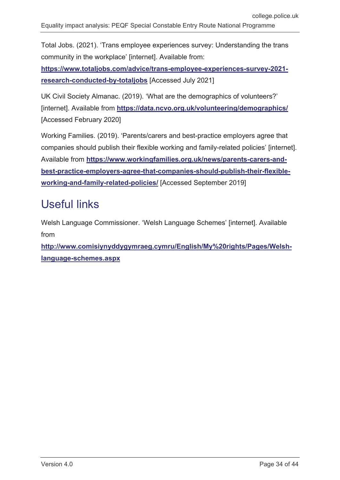Total Jobs. (2021). 'Trans employee experiences survey: Understanding the trans community in the workplace' [internet]. Available from:

**[https://www.totaljobs.com/advice/trans-employee-experiences-survey-2021](https://www.totaljobs.com/advice/trans-employee-experiences-survey-2021-research-conducted-by-totaljobs) [research-conducted-by-totaljobs](https://www.totaljobs.com/advice/trans-employee-experiences-survey-2021-research-conducted-by-totaljobs)** [Accessed July 2021]

UK Civil Society Almanac. (2019). 'What are the demographics of volunteers?' [internet]. Available from **<https://data.ncvo.org.uk/volunteering/demographics/>** [Accessed February 2020]

Working Families. (2019). 'Parents/carers and best-practice employers agree that companies should publish their flexible working and family-related policies' [internet]. Available from **[https://www.workingfamilies.org.uk/news/parents-carers-and](https://www.workingfamilies.org.uk/news/parents-carers-and-best-practice-employers-agree-that-companies-should-publish-their-flexible-working-and-family-related-policies/)[best-practice-employers-agree-that-companies-should-publish-their-flexible](https://www.workingfamilies.org.uk/news/parents-carers-and-best-practice-employers-agree-that-companies-should-publish-their-flexible-working-and-family-related-policies/)[working-and-family-related-policies/](https://www.workingfamilies.org.uk/news/parents-carers-and-best-practice-employers-agree-that-companies-should-publish-their-flexible-working-and-family-related-policies/)** [Accessed September 2019]

## <span id="page-33-0"></span>Useful links

Welsh Language Commissioner. 'Welsh Language Schemes' [internet]. Available from

**[http://www.comisiynyddygymraeg.cymru/English/My%20rights/Pages/Welsh](http://www.comisiynyddygymraeg.cymru/English/My%20rights/Pages/Welsh-language-schemes.aspx)[language-schemes.aspx](http://www.comisiynyddygymraeg.cymru/English/My%20rights/Pages/Welsh-language-schemes.aspx)**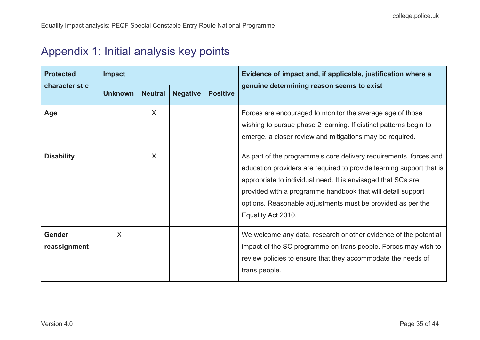## Appendix 1: Initial analysis key points

<span id="page-34-0"></span>

| <b>Protected</b><br>characteristic | <b>Impact</b>  |                |                 |                 | Evidence of impact and, if applicable, justification where a                                                                                                                                                                                                                                                                                                  |
|------------------------------------|----------------|----------------|-----------------|-----------------|---------------------------------------------------------------------------------------------------------------------------------------------------------------------------------------------------------------------------------------------------------------------------------------------------------------------------------------------------------------|
|                                    | <b>Unknown</b> | <b>Neutral</b> | <b>Negative</b> | <b>Positive</b> | genuine determining reason seems to exist                                                                                                                                                                                                                                                                                                                     |
| Age                                |                | X              |                 |                 | Forces are encouraged to monitor the average age of those<br>wishing to pursue phase 2 learning. If distinct patterns begin to<br>emerge, a closer review and mitigations may be required.                                                                                                                                                                    |
| <b>Disability</b>                  |                | X              |                 |                 | As part of the programme's core delivery requirements, forces and<br>education providers are required to provide learning support that is<br>appropriate to individual need. It is envisaged that SCs are<br>provided with a programme handbook that will detail support<br>options. Reasonable adjustments must be provided as per the<br>Equality Act 2010. |
| <b>Gender</b><br>reassignment      | $\sf X$        |                |                 |                 | We welcome any data, research or other evidence of the potential<br>impact of the SC programme on trans people. Forces may wish to<br>review policies to ensure that they accommodate the needs of<br>trans people.                                                                                                                                           |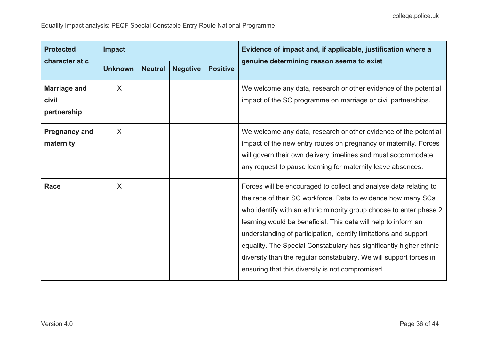| <b>Protected</b><br>characteristic          | <b>Impact</b>  |                |                 |                 | Evidence of impact and, if applicable, justification where a                                                                                                                                                                                                                                                                                                                                                                                                                                                                                   |
|---------------------------------------------|----------------|----------------|-----------------|-----------------|------------------------------------------------------------------------------------------------------------------------------------------------------------------------------------------------------------------------------------------------------------------------------------------------------------------------------------------------------------------------------------------------------------------------------------------------------------------------------------------------------------------------------------------------|
|                                             | <b>Unknown</b> | <b>Neutral</b> | <b>Negative</b> | <b>Positive</b> | genuine determining reason seems to exist                                                                                                                                                                                                                                                                                                                                                                                                                                                                                                      |
| <b>Marriage and</b><br>civil<br>partnership | $\sf X$        |                |                 |                 | We welcome any data, research or other evidence of the potential<br>impact of the SC programme on marriage or civil partnerships.                                                                                                                                                                                                                                                                                                                                                                                                              |
| <b>Pregnancy and</b><br>maternity           | $\sf X$        |                |                 |                 | We welcome any data, research or other evidence of the potential<br>impact of the new entry routes on pregnancy or maternity. Forces<br>will govern their own delivery timelines and must accommodate<br>any request to pause learning for maternity leave absences.                                                                                                                                                                                                                                                                           |
| <b>Race</b>                                 | $\chi$         |                |                 |                 | Forces will be encouraged to collect and analyse data relating to<br>the race of their SC workforce. Data to evidence how many SCs<br>who identify with an ethnic minority group choose to enter phase 2<br>learning would be beneficial. This data will help to inform an<br>understanding of participation, identify limitations and support<br>equality. The Special Constabulary has significantly higher ethnic<br>diversity than the regular constabulary. We will support forces in<br>ensuring that this diversity is not compromised. |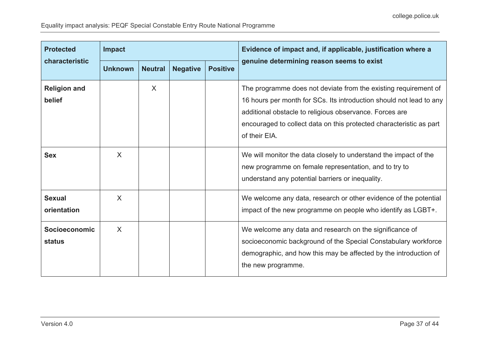| <b>Protected</b><br>characteristic | <b>Impact</b>  |                |                 |                 | Evidence of impact and, if applicable, justification where a                                                                                                                                                                                                                              |
|------------------------------------|----------------|----------------|-----------------|-----------------|-------------------------------------------------------------------------------------------------------------------------------------------------------------------------------------------------------------------------------------------------------------------------------------------|
|                                    | <b>Unknown</b> | <b>Neutral</b> | <b>Negative</b> | <b>Positive</b> | genuine determining reason seems to exist                                                                                                                                                                                                                                                 |
| <b>Religion and</b><br>belief      |                | $\sf X$        |                 |                 | The programme does not deviate from the existing requirement of<br>16 hours per month for SCs. Its introduction should not lead to any<br>additional obstacle to religious observance. Forces are<br>encouraged to collect data on this protected characteristic as part<br>of their EIA. |
| <b>Sex</b>                         | X              |                |                 |                 | We will monitor the data closely to understand the impact of the<br>new programme on female representation, and to try to<br>understand any potential barriers or inequality.                                                                                                             |
| <b>Sexual</b><br>orientation       | X              |                |                 |                 | We welcome any data, research or other evidence of the potential<br>impact of the new programme on people who identify as LGBT+.                                                                                                                                                          |
| Socioeconomic<br><b>status</b>     | $\sf X$        |                |                 |                 | We welcome any data and research on the significance of<br>socioeconomic background of the Special Constabulary workforce<br>demographic, and how this may be affected by the introduction of<br>the new programme.                                                                       |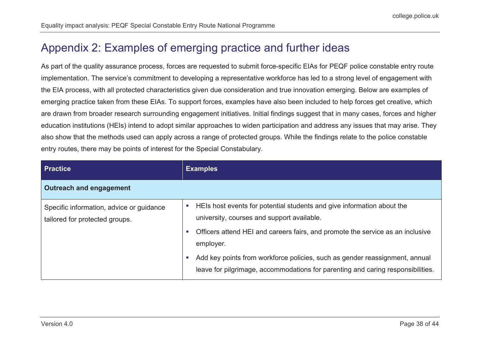## Appendix 2: Examples of emerging practice and further ideas

As part of the quality assurance process, forces are requested to submit force-specific EIAs for PEQF police constable entry route implementation. The service's commitment to developing a representative workforce has led to a strong level of engagement with the EIA process, with all protected characteristics given due consideration and true innovation emerging. Below are examples of emerging practice taken from these EIAs. To support forces, examples have also been included to help forces get creative, which are drawn from broader research surrounding engagement initiatives. Initial findings suggest that in many cases, forces and higher education institutions (HEIs) intend to adopt similar approaches to widen participation and address any issues that may arise. They also show that the methods used can apply across a range of protected groups. While the findings relate to the police constable entry routes, there may be points of interest for the Special Constabulary.

<span id="page-37-0"></span>

| <b>Practice</b>                                                            | <b>Examples</b>                                                                                                                                                                                                                                                                                                                                                                             |
|----------------------------------------------------------------------------|---------------------------------------------------------------------------------------------------------------------------------------------------------------------------------------------------------------------------------------------------------------------------------------------------------------------------------------------------------------------------------------------|
| <b>Outreach and engagement</b>                                             |                                                                                                                                                                                                                                                                                                                                                                                             |
| Specific information, advice or guidance<br>tailored for protected groups. | HEIs host events for potential students and give information about the<br>university, courses and support available.<br>Officers attend HEI and careers fairs, and promote the service as an inclusive<br>×.<br>employer.<br>Add key points from workforce policies, such as gender reassignment, annual<br>leave for pilgrimage, accommodations for parenting and caring responsibilities. |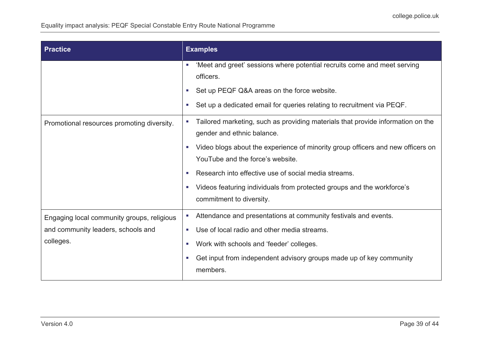| <b>Practice</b>                            | <b>Examples</b>                                                                                                                                                                                                               |  |  |
|--------------------------------------------|-------------------------------------------------------------------------------------------------------------------------------------------------------------------------------------------------------------------------------|--|--|
|                                            | 'Meet and greet' sessions where potential recruits come and meet serving<br>ш<br>officers.<br>Set up PEQF Q&A areas on the force website.<br>ш<br>Set up a dedicated email for queries relating to recruitment via PEQF.<br>ш |  |  |
| Promotional resources promoting diversity. | Tailored marketing, such as providing materials that provide information on the<br>ш<br>gender and ethnic balance.                                                                                                            |  |  |
|                                            | Video blogs about the experience of minority group officers and new officers on<br>ш<br>YouTube and the force's website.                                                                                                      |  |  |
|                                            | Research into effective use of social media streams.<br>п                                                                                                                                                                     |  |  |
|                                            | Videos featuring individuals from protected groups and the workforce's<br>ш<br>commitment to diversity.                                                                                                                       |  |  |
| Engaging local community groups, religious | Attendance and presentations at community festivals and events.<br>ш                                                                                                                                                          |  |  |
| and community leaders, schools and         | Use of local radio and other media streams.<br>a.                                                                                                                                                                             |  |  |
| colleges.                                  | Work with schools and 'feeder' colleges.<br>ш                                                                                                                                                                                 |  |  |
|                                            | Get input from independent advisory groups made up of key community<br>ш<br>members.                                                                                                                                          |  |  |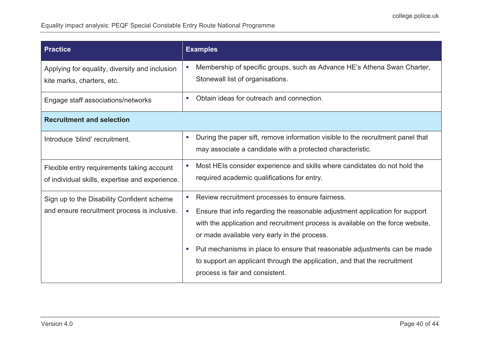| <b>Practice</b>                                                                               | <b>Examples</b>                                                                                                                                                                                                                                                                                                                                                                                                                                                                                       |
|-----------------------------------------------------------------------------------------------|-------------------------------------------------------------------------------------------------------------------------------------------------------------------------------------------------------------------------------------------------------------------------------------------------------------------------------------------------------------------------------------------------------------------------------------------------------------------------------------------------------|
| Applying for equality, diversity and inclusion<br>kite marks, charters, etc.                  | Membership of specific groups, such as Advance HE's Athena Swan Charter,<br>ш<br>Stonewall list of organisations.                                                                                                                                                                                                                                                                                                                                                                                     |
| Engage staff associations/networks                                                            | Obtain ideas for outreach and connection.<br>Ľ,                                                                                                                                                                                                                                                                                                                                                                                                                                                       |
| <b>Recruitment and selection</b>                                                              |                                                                                                                                                                                                                                                                                                                                                                                                                                                                                                       |
| Introduce 'blind' recruitment.                                                                | During the paper sift, remove information visible to the recruitment panel that<br>×.<br>may associate a candidate with a protected characteristic.                                                                                                                                                                                                                                                                                                                                                   |
| Flexible entry requirements taking account<br>of individual skills, expertise and experience. | Most HEIs consider experience and skills where candidates do not hold the<br>required academic qualifications for entry.                                                                                                                                                                                                                                                                                                                                                                              |
| Sign up to the Disability Confident scheme<br>and ensure recruitment process is inclusive.    | Review recruitment processes to ensure fairness.<br>Ensure that info regarding the reasonable adjustment application for support<br>$\mathcal{L}_{\mathcal{A}}$<br>with the application and recruitment process is available on the force website,<br>or made available very early in the process.<br>Put mechanisms in place to ensure that reasonable adjustments can be made<br>×.<br>to support an applicant through the application, and that the recruitment<br>process is fair and consistent. |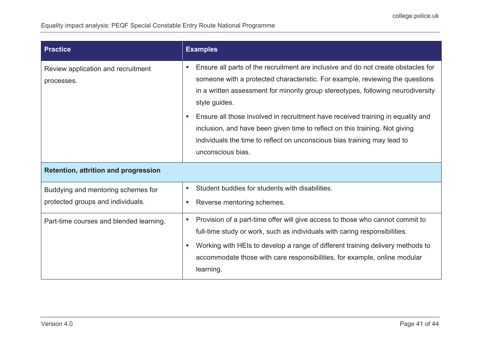| <b>Practice</b>                                                         | <b>Examples</b>                                                                                                                                                                                                                                                                                                                                                                                                                                                                                                                                       |
|-------------------------------------------------------------------------|-------------------------------------------------------------------------------------------------------------------------------------------------------------------------------------------------------------------------------------------------------------------------------------------------------------------------------------------------------------------------------------------------------------------------------------------------------------------------------------------------------------------------------------------------------|
| Review application and recruitment<br>processes.                        | Ensure all parts of the recruitment are inclusive and do not create obstacles for<br>×.<br>someone with a protected characteristic. For example, reviewing the questions<br>in a written assessment for minority group stereotypes, following neurodiversity<br>style guides.<br>Ensure all those involved in recruitment have received training in equality and<br>ш<br>inclusion, and have been given time to reflect on this training. Not giving<br>individuals the time to reflect on unconscious bias training may lead to<br>unconscious bias. |
| <b>Retention, attrition and progression</b>                             |                                                                                                                                                                                                                                                                                                                                                                                                                                                                                                                                                       |
| Buddying and mentoring schemes for<br>protected groups and individuals. | Student buddies for students with disabilities.<br>ш<br>Reverse mentoring schemes.<br>ш                                                                                                                                                                                                                                                                                                                                                                                                                                                               |
| Part-time courses and blended learning.                                 | Provision of a part-time offer will give access to those who cannot commit to<br>г<br>full-time study or work, such as individuals with caring responsibilities.<br>Working with HEIs to develop a range of different training delivery methods to<br>×<br>accommodate those with care responsibilities, for example, online modular<br>learning.                                                                                                                                                                                                     |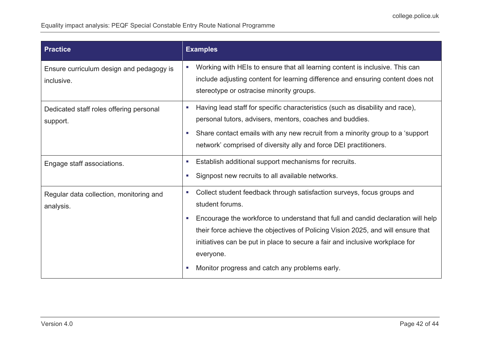| <b>Practice</b>                                        | <b>Examples</b>                                                                                                                                                                                                                                                                                                                       |
|--------------------------------------------------------|---------------------------------------------------------------------------------------------------------------------------------------------------------------------------------------------------------------------------------------------------------------------------------------------------------------------------------------|
| Ensure curriculum design and pedagogy is<br>inclusive. | Working with HEIs to ensure that all learning content is inclusive. This can<br>×.<br>include adjusting content for learning difference and ensuring content does not<br>stereotype or ostracise minority groups.                                                                                                                     |
| Dedicated staff roles offering personal<br>support.    | Having lead staff for specific characteristics (such as disability and race),<br>×.<br>personal tutors, advisers, mentors, coaches and buddies.<br>Share contact emails with any new recruit from a minority group to a 'support'<br>$\mathcal{L}_{\mathcal{A}}$<br>network' comprised of diversity ally and force DEI practitioners. |
| Engage staff associations.                             | Establish additional support mechanisms for recruits.<br><b>C</b><br>Signpost new recruits to all available networks.<br>ш                                                                                                                                                                                                            |
| Regular data collection, monitoring and<br>analysis.   | Collect student feedback through satisfaction surveys, focus groups and<br>×.<br>student forums.                                                                                                                                                                                                                                      |
|                                                        | Encourage the workforce to understand that full and candid declaration will help<br>ш<br>their force achieve the objectives of Policing Vision 2025, and will ensure that<br>initiatives can be put in place to secure a fair and inclusive workplace for<br>everyone.                                                                |
|                                                        | Monitor progress and catch any problems early.<br>×.                                                                                                                                                                                                                                                                                  |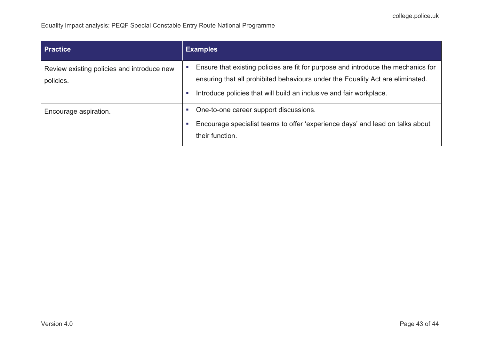| <b>Practice</b>                                         | <b>Examples</b>                                                                                                                                                                                                                                 |
|---------------------------------------------------------|-------------------------------------------------------------------------------------------------------------------------------------------------------------------------------------------------------------------------------------------------|
| Review existing policies and introduce new<br>policies. | Ensure that existing policies are fit for purpose and introduce the mechanics for<br>ensuring that all prohibited behaviours under the Equality Act are eliminated.<br>Introduce policies that will build an inclusive and fair workplace.<br>× |
| Encourage aspiration.                                   | One-to-one career support discussions.<br>×.<br>Encourage specialist teams to offer 'experience days' and lead on talks about<br>their function.                                                                                                |